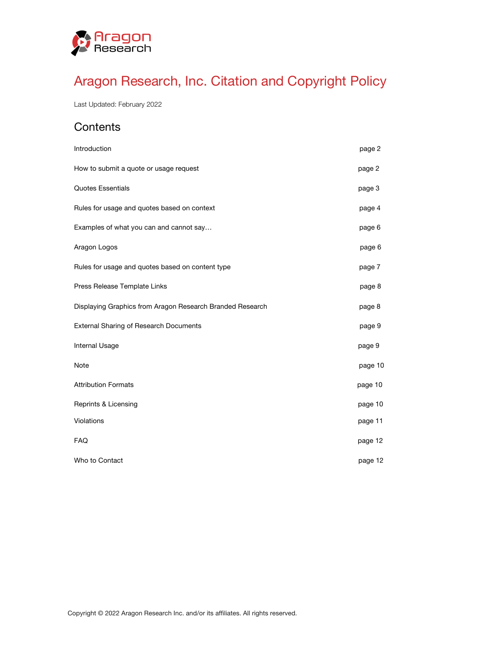

# Aragon Research, Inc. Citation and Copyright Policy

Last Updated: February 2022

# **Contents**

| Introduction                                              | page 2  |
|-----------------------------------------------------------|---------|
| How to submit a quote or usage request                    | page 2  |
| <b>Quotes Essentials</b>                                  | page 3  |
| Rules for usage and quotes based on context               | page 4  |
| Examples of what you can and cannot say                   | page 6  |
| Aragon Logos                                              | page 6  |
| Rules for usage and quotes based on content type          | page 7  |
| Press Release Template Links                              | page 8  |
| Displaying Graphics from Aragon Research Branded Research | page 8  |
| <b>External Sharing of Research Documents</b>             | page 9  |
| Internal Usage                                            | page 9  |
| Note                                                      | page 10 |
| <b>Attribution Formats</b>                                | page 10 |
| Reprints & Licensing                                      | page 10 |
| Violations                                                | page 11 |
| <b>FAQ</b>                                                | page 12 |
| Who to Contact                                            | page 12 |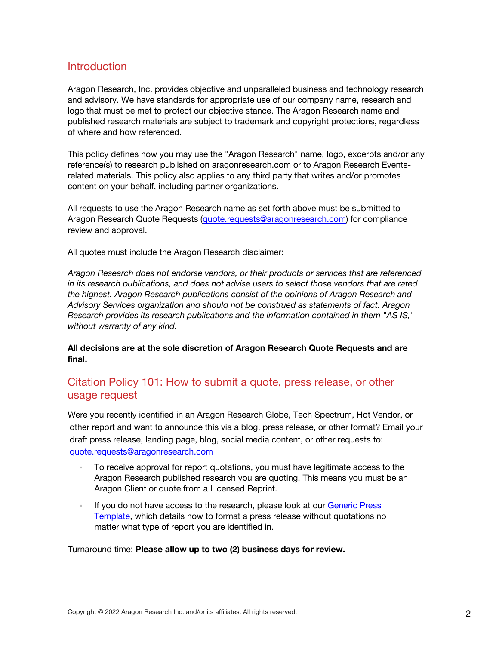### **Introduction**

Aragon Research, Inc. provides objective and unparalleled business and technology research and advisory. We have standards for appropriate use of our company name, research and logo that must be met to protect our objective stance. The Aragon Research name and published research materials are subject to trademark and copyright protections, regardless of where and how referenced.

This policy defines how you may use the "Aragon Research" name, logo, excerpts and/or any reference(s) to research published on aragonresearch.com or to Aragon Research Eventsrelated materials. This policy also applies to any third party that writes and/or promotes content on your behalf, including partner organizations.

All requests to use the Aragon Research name as set forth above must be submitted to Aragon Research Quote Requests (quote.requests@aragonresearch.com) for compliance review and approval.

All quotes must include the Aragon Research disclaimer:

*Aragon Research does not endorse vendors, or their products or services that are referenced in its research publications, and does not advise users to select those vendors that are rated the highest. Aragon Research publications consist of the opinions of Aragon Research and Advisory Services organization and should not be construed as statements of fact. Aragon Research provides its research publications and the information contained in them "AS IS," without warranty of any kind.*

**All decisions are at the sole discretion of Aragon Research Quote Requests and are final.**

### Citation Policy 101: How to submit a quote, press release, or other usage request

Were you recently identified in an Aragon Research Globe, Tech Spectrum, Hot Vendor, or other report and want to announce this via a blog, press release, or other format? Email your draft press release, landing page, blog, social media content, or other requests to: quote.requests@aragonresearch.com

- To receive approval for report quotations, you must have legitimate access to the Aragon Research published research you are quoting. This means you must be an Aragon Client or quote from a Licensed Reprint.
- If you do not have access to the research, please look at our Generic Press Template, which details how to format a press release without quotations no matter what type of report you are identified in.

Turnaround time: **Please allow up to two (2) business days for review.**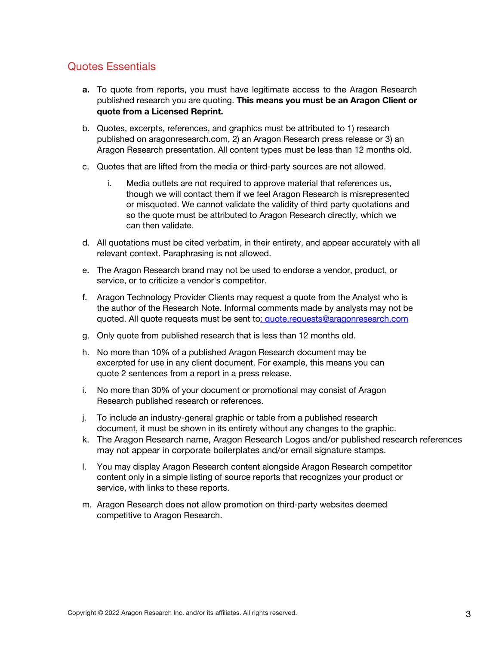# Quotes Essentials

- **a.** To quote from reports, you must have legitimate access to the Aragon Research published research you are quoting. **This means you must be an Aragon Client or quote from a Licensed Reprint.**
- b. Quotes, excerpts, references, and graphics must be attributed to 1) research published on aragonresearch.com, 2) an Aragon Research press release or 3) an Aragon Research presentation. All content types must be less than 12 months old.
- c. Quotes that are lifted from the media or third-party sources are not allowed.
	- i. Media outlets are not required to approve material that references us, though we will contact them if we feel Aragon Research is misrepresented or misquoted. We cannot validate the validity of third party quotations and so the quote must be attributed to Aragon Research directly, which we can then validate.
- d. All quotations must be cited verbatim, in their entirety, and appear accurately with all relevant context. Paraphrasing is not allowed.
- e. The Aragon Research brand may not be used to endorse a vendor, product, or service, or to criticize a vendor's competitor.
- f. Aragon Technology Provider Clients may request a quote from the Analyst who is the author of the Research Note. Informal comments made by analysts may not be quoted. All quote requests must be sent to: quote.requests@aragonresearch.com
- g. Only quote from published research that is less than 12 months old.
- h. No more than 10% of a published Aragon Research document may be excerpted for use in any client document. For example, this means you can quote 2 sentences from a report in a press release.
- i. No more than 30% of your document or promotional may consist of Aragon Research published research or references.
- j. To include an industry-general graphic or table from a published research document, it must be shown in its entirety without any changes to the graphic.
- k. The Aragon Research name, Aragon Research Logos and/or published research references may not appear in corporate boilerplates and/or email signature stamps.
- l. You may display Aragon Research content alongside Aragon Research competitor content only in a simple listing of source reports that recognizes your product or service, with links to these reports.
- m. Aragon Research does not allow promotion on third-party websites deemed competitive to Aragon Research.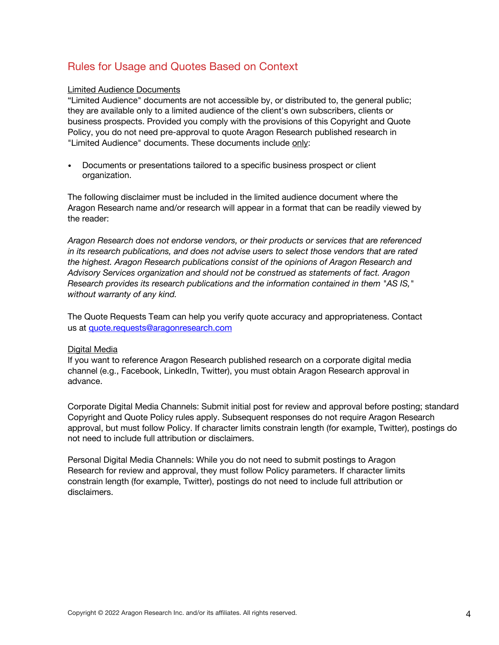# Rules for Usage and Quotes Based on Context

#### Limited Audience Documents

"Limited Audience" documents are not accessible by, or distributed to, the general public; they are available only to a limited audience of the client's own subscribers, clients or business prospects. Provided you comply with the provisions of this Copyright and Quote Policy, you do not need pre-approval to quote Aragon Research published research in "Limited Audience" documents. These documents include only:

• Documents or presentations tailored to a specific business prospect or client organization.

The following disclaimer must be included in the limited audience document where the Aragon Research name and/or research will appear in a format that can be readily viewed by the reader:

*Aragon Research does not endorse vendors, or their products or services that are referenced in its research publications, and does not advise users to select those vendors that are rated the highest. Aragon Research publications consist of the opinions of Aragon Research and Advisory Services organization and should not be construed as statements of fact. Aragon Research provides its research publications and the information contained in them "AS IS," without warranty of any kind.*

The Quote Requests Team can help you verify quote accuracy and appropriateness. Contact us at quote.requests@aragonresearch.com

#### Digital Media

If you want to reference Aragon Research published research on a corporate digital media channel (e.g., Facebook, LinkedIn, Twitter), you must obtain Aragon Research approval in advance.

Corporate Digital Media Channels: Submit initial post for review and approval before posting; standard Copyright and Quote Policy rules apply. Subsequent responses do not require Aragon Research approval, but must follow Policy. If character limits constrain length (for example, Twitter), postings do not need to include full attribution or disclaimers.

Personal Digital Media Channels: While you do not need to submit postings to Aragon Research for review and approval, they must follow Policy parameters. If character limits constrain length (for example, Twitter), postings do not need to include full attribution or disclaimers.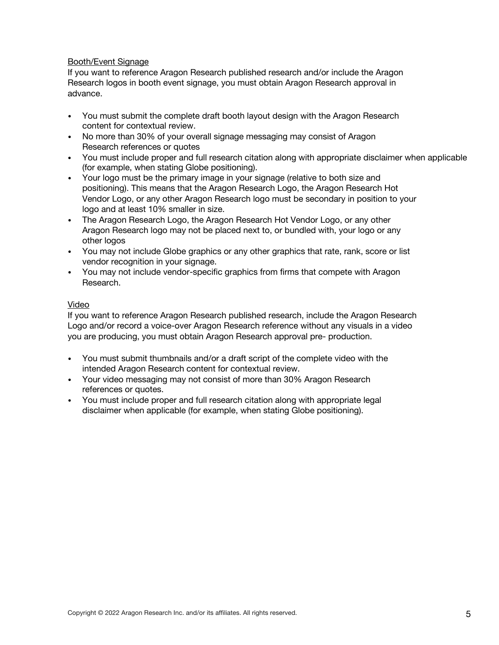#### Booth/Event Signage

If you want to reference Aragon Research published research and/or include the Aragon Research logos in booth event signage, you must obtain Aragon Research approval in advance.

- You must submit the complete draft booth layout design with the Aragon Research content for contextual review.
- No more than 30% of your overall signage messaging may consist of Aragon Research references or quotes
- You must include proper and full research citation along with appropriate disclaimer when applicable (for example, when stating Globe positioning).
- Your logo must be the primary image in your signage (relative to both size and positioning). This means that the Aragon Research Logo, the Aragon Research Hot Vendor Logo, or any other Aragon Research logo must be secondary in position to your logo and at least 10% smaller in size.
- The Aragon Research Logo, the Aragon Research Hot Vendor Logo, or any other Aragon Research logo may not be placed next to, or bundled with, your logo or any other logos
- You may not include Globe graphics or any other graphics that rate, rank, score or list vendor recognition in your signage.
- You may not include vendor-specific graphics from firms that compete with Aragon Research.

#### Video

If you want to reference Aragon Research published research, include the Aragon Research Logo and/or record a voice-over Aragon Research reference without any visuals in a video you are producing, you must obtain Aragon Research approval pre- production.

- You must submit thumbnails and/or a draft script of the complete video with the intended Aragon Research content for contextual review.
- Your video messaging may not consist of more than 30% Aragon Research references or quotes.
- You must include proper and full research citation along with appropriate legal disclaimer when applicable (for example, when stating Globe positioning).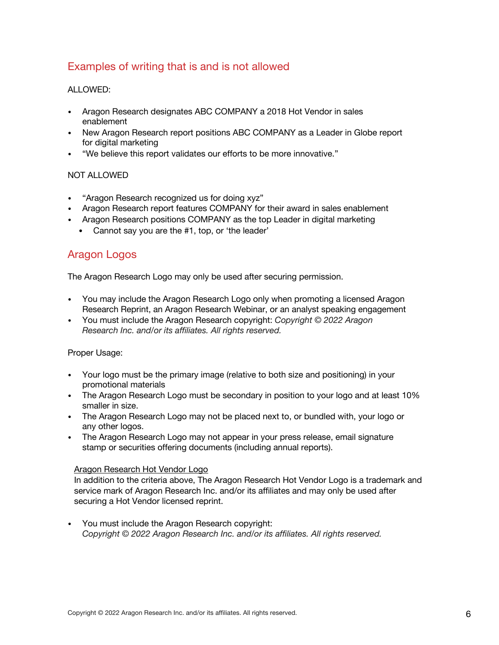# Examples of writing that is and is not allowed

#### ALLOWED:

- Aragon Research designates ABC COMPANY a 2018 Hot Vendor in sales enablement
- New Aragon Research report positions ABC COMPANY as a Leader in Globe report for digital marketing
- "We believe this report validates our efforts to be more innovative."

#### NOT ALLOWED

- "Aragon Research recognized us for doing xyz"
- Aragon Research report features COMPANY for their award in sales enablement
- Aragon Research positions COMPANY as the top Leader in digital marketing
	- Cannot say you are the #1, top, or 'the leader'

### Aragon Logos

The Aragon Research Logo may only be used after securing permission.

- You may include the Aragon Research Logo only when promoting a licensed Aragon Research Reprint, an Aragon Research Webinar, or an analyst speaking engagement
- You must include the Aragon Research copyright: *Copyright © 2022 Aragon Research Inc. and/or its affiliates. All rights reserved.*

#### Proper Usage:

- Your logo must be the primary image (relative to both size and positioning) in your promotional materials
- The Aragon Research Logo must be secondary in position to your logo and at least 10% smaller in size.
- The Aragon Research Logo may not be placed next to, or bundled with, your logo or any other logos.
- The Aragon Research Logo may not appear in your press release, email signature stamp or securities offering documents (including annual reports).

#### Aragon Research Hot Vendor Logo

In addition to the criteria above, The Aragon Research Hot Vendor Logo is a trademark and service mark of Aragon Research Inc. and/or its affiliates and may only be used after securing a Hot Vendor licensed reprint.

• You must include the Aragon Research copyright: *Copyright © 2022 Aragon Research Inc. and/or its affiliates. All rights reserved.*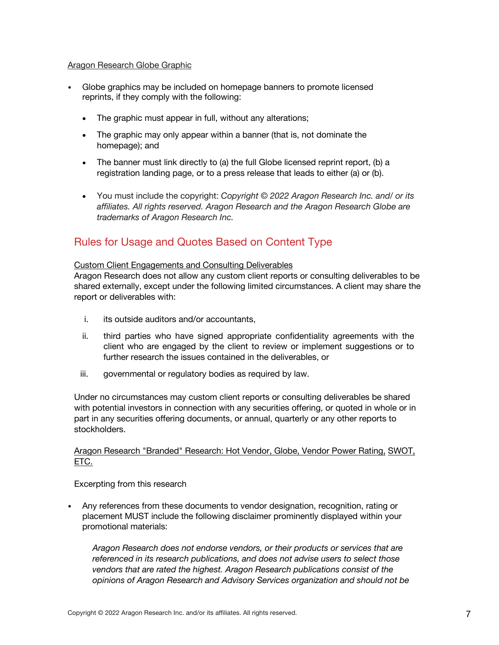#### Aragon Research Globe Graphic

- Globe graphics may be included on homepage banners to promote licensed reprints, if they comply with the following:
	- The graphic must appear in full, without any alterations;
	- The graphic may only appear within a banner (that is, not dominate the homepage); and
	- The banner must link directly to (a) the full Globe licensed reprint report, (b) a registration landing page, or to a press release that leads to either (a) or (b).
	- You must include the copyright: *Copyright © 2022 Aragon Research Inc. and/ or its affiliates. All rights reserved. Aragon Research and the Aragon Research Globe are trademarks of Aragon Research Inc.*

### Rules for Usage and Quotes Based on Content Type

#### Custom Client Engagements and Consulting Deliverables

Aragon Research does not allow any custom client reports or consulting deliverables to be shared externally, except under the following limited circumstances. A client may share the report or deliverables with:

- i. its outside auditors and/or accountants,
- ii. third parties who have signed appropriate confidentiality agreements with the client who are engaged by the client to review or implement suggestions or to further research the issues contained in the deliverables, or
- iii. governmental or regulatory bodies as required by law.

Under no circumstances may custom client reports or consulting deliverables be shared with potential investors in connection with any securities offering, or quoted in whole or in part in any securities offering documents, or annual, quarterly or any other reports to stockholders.

#### Aragon Research "Branded" Research: Hot Vendor, Globe, Vendor Power Rating, SWOT, ETC.

Excerpting from this research

• Any references from these documents to vendor designation, recognition, rating or placement MUST include the following disclaimer prominently displayed within your promotional materials:

*Aragon Research does not endorse vendors, or their products or services that are referenced in its research publications, and does not advise users to select those vendors that are rated the highest. Aragon Research publications consist of the opinions of Aragon Research and Advisory Services organization and should not be*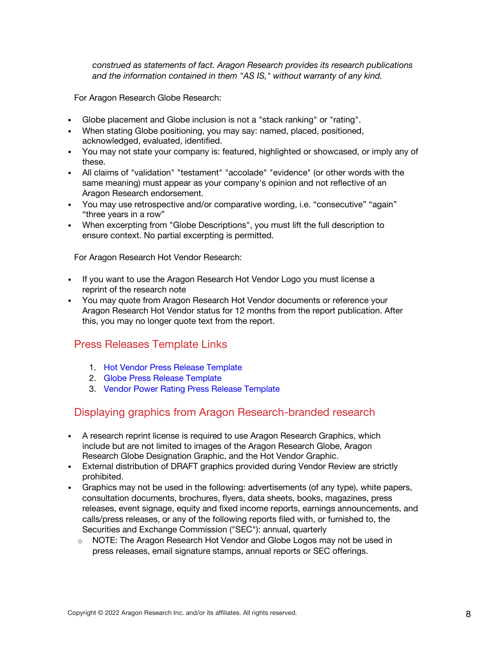*construed as statements of fact. Aragon Research provides its research publications and the information contained in them "AS IS," without warranty of any kind.*

For Aragon Research Globe Research:

- Globe placement and Globe inclusion is not a "stack ranking" or "rating".
- When stating Globe positioning, you may say: named, placed, positioned, acknowledged, evaluated, identified.
- You may not state your company is: featured, highlighted or showcased, or imply any of these.
- All claims of "validation" "testament" "accolade" "evidence" (or other words with the same meaning) must appear as your company's opinion and not reflective of an Aragon Research endorsement.
- You may use retrospective and/or comparative wording, i.e. "consecutive" "again" "three years in a row"
- When excerpting from "Globe Descriptions", you must lift the full description to ensure context. No partial excerpting is permitted.

For Aragon Research Hot Vendor Research:

- If you want to use the Aragon Research Hot Vendor Logo you must license a reprint of the research note
- You may quote from Aragon Research Hot Vendor documents or reference your Aragon Research Hot Vendor status for 12 months from the report publication. After this, you may no longer quote text from the report.

### Press Releases Template Links

- 1. Hot Vendor Press Release Template
- 2. Globe Press Release Template
- 3. Vendor Power Rating Press Release Template

### Displaying graphics from Aragon Research-branded research

- A research reprint license is required to use Aragon Research Graphics, which include but are not limited to images of the Aragon Research Globe, Aragon Research Globe Designation Graphic, and the Hot Vendor Graphic.
- External distribution of DRAFT graphics provided during Vendor Review are strictly prohibited.
- Graphics may not be used in the following: advertisements (of any type), white papers, consultation documents, brochures, flyers, data sheets, books, magazines, press releases, event signage, equity and fixed income reports, earnings announcements, and calls/press releases, or any of the following reports filed with, or furnished to, the Securities and Exchange Commission ("SEC"): annual, quarterly
	- $\circ$  NOTE: The Aragon Research Hot Vendor and Globe Logos may not be used in press releases, email signature stamps, annual reports or SEC offerings.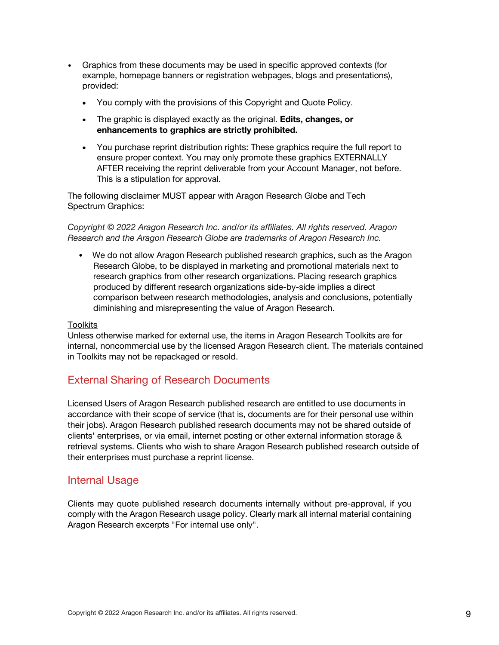- Graphics from these documents may be used in specific approved contexts (for example, homepage banners or registration webpages, blogs and presentations), provided:
	- You comply with the provisions of this Copyright and Quote Policy.
	- The graphic is displayed exactly as the original. **Edits, changes, or enhancements to graphics are strictly prohibited.**
	- You purchase reprint distribution rights: These graphics require the full report to ensure proper context. You may only promote these graphics EXTERNALLY AFTER receiving the reprint deliverable from your Account Manager, not before. This is a stipulation for approval.

The following disclaimer MUST appear with Aragon Research Globe and Tech Spectrum Graphics:

*Copyright © 2022 Aragon Research Inc. and/or its affiliates. All rights reserved. Aragon Research and the Aragon Research Globe are trademarks of Aragon Research Inc.*

• We do not allow Aragon Research published research graphics, such as the Aragon Research Globe, to be displayed in marketing and promotional materials next to research graphics from other research organizations. Placing research graphics produced by different research organizations side-by-side implies a direct comparison between research methodologies, analysis and conclusions, potentially diminishing and misrepresenting the value of Aragon Research.

#### Toolkits

Unless otherwise marked for external use, the items in Aragon Research Toolkits are for internal, noncommercial use by the licensed Aragon Research client. The materials contained in Toolkits may not be repackaged or resold.

# External Sharing of Research Documents

Licensed Users of Aragon Research published research are entitled to use documents in accordance with their scope of service (that is, documents are for their personal use within their jobs). Aragon Research published research documents may not be shared outside of clients' enterprises, or via email, internet posting or other external information storage & retrieval systems. Clients who wish to share Aragon Research published research outside of their enterprises must purchase a reprint license.

### Internal Usage

Clients may quote published research documents internally without pre-approval, if you comply with the Aragon Research usage policy. Clearly mark all internal material containing Aragon Research excerpts "For internal use only".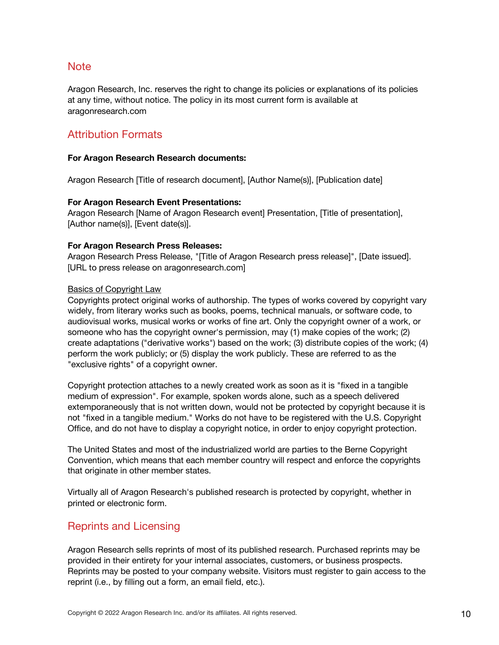### Note

Aragon Research, Inc. reserves the right to change its policies or explanations of its policies at any time, without notice. The policy in its most current form is available at aragonresearch.com

## Attribution Formats

#### **For Aragon Research Research documents:**

Aragon Research [Title of research document], [Author Name(s)], [Publication date]

#### **For Aragon Research Event Presentations:**

Aragon Research [Name of Aragon Research event] Presentation, [Title of presentation], [Author name(s)], [Event date(s)].

#### **For Aragon Research Press Releases:**

Aragon Research Press Release, "[Title of Aragon Research press release]", [Date issued]. [URL to press release on aragonresearch.com]

#### Basics of Copyright Law

Copyrights protect original works of authorship. The types of works covered by copyright vary widely, from literary works such as books, poems, technical manuals, or software code, to audiovisual works, musical works or works of fine art. Only the copyright owner of a work, or someone who has the copyright owner's permission, may (1) make copies of the work; (2) create adaptations ("derivative works") based on the work; (3) distribute copies of the work; (4) perform the work publicly; or (5) display the work publicly. These are referred to as the "exclusive rights" of a copyright owner.

Copyright protection attaches to a newly created work as soon as it is "fixed in a tangible medium of expression". For example, spoken words alone, such as a speech delivered extemporaneously that is not written down, would not be protected by copyright because it is not "fixed in a tangible medium." Works do not have to be registered with the U.S. Copyright Office, and do not have to display a copyright notice, in order to enjoy copyright protection.

The United States and most of the industrialized world are parties to the Berne Copyright Convention, which means that each member country will respect and enforce the copyrights that originate in other member states.

Virtually all of Aragon Research's published research is protected by copyright, whether in printed or electronic form.

### Reprints and Licensing

Aragon Research sells reprints of most of its published research. Purchased reprints may be provided in their entirety for your internal associates, customers, or business prospects. Reprints may be posted to your company website. Visitors must register to gain access to the reprint (i.e., by filling out a form, an email field, etc.).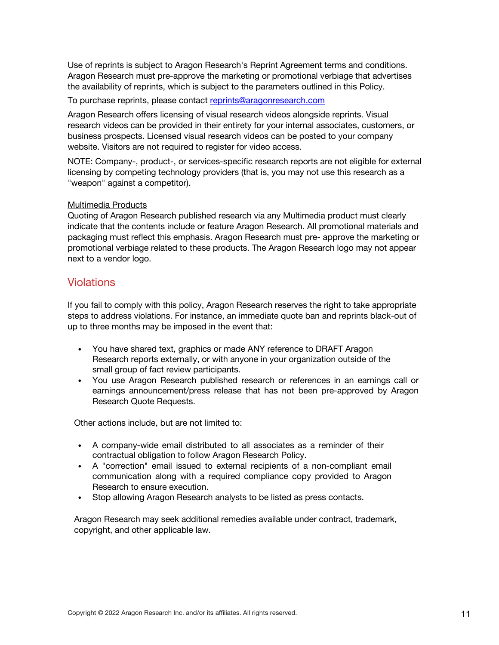Use of reprints is subject to Aragon Research's Reprint Agreement terms and conditions. Aragon Research must pre-approve the marketing or promotional verbiage that advertises the availability of reprints, which is subject to the parameters outlined in this Policy.

To purchase reprints, please contact reprints@aragonresearch.com

Aragon Research offers licensing of visual research videos alongside reprints. Visual research videos can be provided in their entirety for your internal associates, customers, or business prospects. Licensed visual research videos can be posted to your company website. Visitors are not required to register for video access.

NOTE: Company-, product-, or services-specific research reports are not eligible for external licensing by competing technology providers (that is, you may not use this research as a "weapon" against a competitor).

#### Multimedia Products

Quoting of Aragon Research published research via any Multimedia product must clearly indicate that the contents include or feature Aragon Research. All promotional materials and packaging must reflect this emphasis. Aragon Research must pre- approve the marketing or promotional verbiage related to these products. The Aragon Research logo may not appear next to a vendor logo.

### Violations

If you fail to comply with this policy, Aragon Research reserves the right to take appropriate steps to address violations. For instance, an immediate quote ban and reprints black-out of up to three months may be imposed in the event that:

- You have shared text, graphics or made ANY reference to DRAFT Aragon Research reports externally, or with anyone in your organization outside of the small group of fact review participants.
- You use Aragon Research published research or references in an earnings call or earnings announcement/press release that has not been pre-approved by Aragon Research Quote Requests.

Other actions include, but are not limited to:

- A company-wide email distributed to all associates as a reminder of their contractual obligation to follow Aragon Research Policy.
- A "correction" email issued to external recipients of a non-compliant email communication along with a required compliance copy provided to Aragon Research to ensure execution.
- Stop allowing Aragon Research analysts to be listed as press contacts.

Aragon Research may seek additional remedies available under contract, trademark, copyright, and other applicable law.